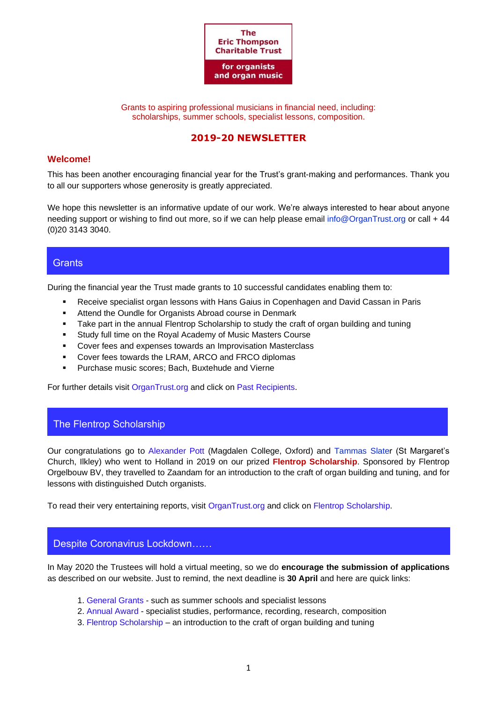

Grants to aspiring professional musicians in financial need, including: scholarships, summer schools, specialist lessons, composition.

# **2019-20 NEWSLETTER**

### **Welcome!**

This has been another encouraging financial year for the Trust's grant-making and performances. Thank you to all our supporters whose generosity is greatly appreciated.

We hope this newsletter is an informative update of our work. We're always interested to hear about anyone needing support or wishing to find out more, so if we can help please email [info@OrganTrust.org](mailto:info@OrganTrust.org) or call + 44 (0)20 3143 3040.

# **Grants**

During the financial year the Trust made grants to 10 successful candidates enabling them to:

- Receive specialist organ lessons with Hans Gaius in Copenhagen and David Cassan in Paris
- Attend the Oundle for Organists Abroad course in Denmark
- **■** Take part in the annual Flentrop Scholarship to study the craft of organ building and tuning
- Study full time on the Royal Academy of Music Masters Course
- Cover fees and expenses towards an Improvisation Masterclass
- Cover fees towards the LRAM, ARCO and FRCO diplomas
- Purchase music scores; Bach, Buxtehude and Vierne

For further details visit [OrganTrust.org](http://www.organtrust.org/) and click on [Past Recipients.](https://royalphilharmonicsociety.org.uk/performers/instrumentalists/thompson/past-ett-1)

# The Flentrop Scholarship

Our congratulations go to [Alexander](https://www.wcom.org.uk/yeoman/alexander-pott/) Pott (Magdalen College, Oxford) and Tammas Slater (St Margaret's Church, Ilkley) who went to Holland in 2019 on our prized **Flentrop Scholarship**. Sponsored by Flentrop Orgelbouw BV, they travelled to Zaandam for an introduction to the craft of organ building and tuning, and for lessons with distinguished Dutch organists.

To read their very entertaining reports, visit [OrganTrust.org](http://www.organtrust.org/) and click o[n Flentrop Scholarship.](https://royalphilharmonicsociety.org.uk/assets/files/Reports_2019_PottSlater.pdf)

### Despite Coronavirus Lockdown……

In May 2020 the Trustees will hold a virtual meeting, so we do **encourage the submission of applications** as described on our website. Just to remind, the next deadline is **30 April** and here are quick links:

- 1. [General Grants](https://royalphilharmonicsociety.org.uk/performers/instrumentalists/thompson/eric-thompson-trust-grants) such as summer schools and specialist lessons
- 2. [Annual Award](https://royalphilharmonicsociety.org.uk/performers/instrumentalists/thompson/annual-award1) specialist studies, performance, recording, research, composition
- 3. [Flentrop Scholarship](https://royalphilharmonicsociety.org.uk/performers/instrumentalists/thompson/flentrop) an introduction to the craft of organ building and tuning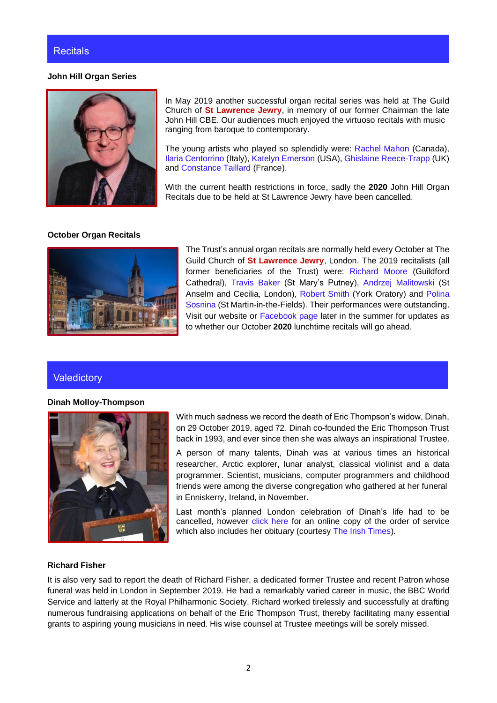### **Recitals**

#### **John Hill Organ Series**



In May 2019 another successful organ recital series was held at The Guild Church of **St Lawrence Jewry**, in memory of our former Chairman the late John Hill CBE. Our audiences much enjoyed the virtuoso recitals with music ranging from baroque to contemporary.

The young artists who played so splendidly were: [Rachel Mahon](http://www.rachelmahon.co.uk/) (Canada), [Ilaria Centorrino](https://www.facebook.com/IlariaCentorrinoOrganist/) (Italy)[, Katelyn Emerson](http://www.katelynemerson.com/) (USA), [Ghislaine Reece-Trapp](https://www.wcom.org.uk/yeoman/ghislaine-reece-trapp/) (UK) and [Constance Taillard](https://www.safran-group.com/media/safran-foundation-music-focus-constance-taillard-20190523) (France).

With the current health restrictions in force, sadly the **2020** John Hill Organ Recitals due to be held at St Lawrence Jewry have been cancelled.

#### **October Organ Recitals**



The Trust's annual organ recitals are normally held every October at The Guild Church of **St Lawrence Jewry**, London. The 2019 recitalists (all former beneficiaries of the Trust) were: [Richard Moore](https://www.guildford-cathedral.org/music/organists/sub-organist) (Guildford Cathedral), [Travis Baker](http://www.travis-baker.co.uk/) (St Mary's Putney), [Andrzej Malitowski](https://andrzejmalitowski.com/) (St Anselm and Cecilia, London), [Robert Smith](http://www.robert-smith.org.uk/) (York Oratory) and [Polina](https://www.sjss.org.uk/events/polina-sosnina)  [Sosnina](https://www.sjss.org.uk/events/polina-sosnina) (St Martin-in-the-Fields). Their performances were outstanding. Visit our website or [Facebook page](https://www.facebook.com/OrganTrust/) later in the summer for updates as to whether our October **2020** lunchtime recitals will go ahead.

### **Valedictory**

#### **Dinah Molloy-Thompson**



With much sadness we record the death of Eric Thompson's widow, Dinah, on 29 October 2019, aged 72. Dinah co-founded the Eric Thompson Trust back in 1993, and ever since then she was always an inspirational Trustee.

A person of many talents, Dinah was at various times an historical researcher, Arctic explorer, lunar analyst, classical violinist and a data programmer. Scientist, musicians, computer programmers and childhood friends were among the diverse congregation who gathered at her funeral in Enniskerry, Ireland, in November.

Last month's planned London celebration of Dinah's life had to be cancelled, however [click here](https://royalphilharmonicsociety.org.uk/assets/files/PROGRAMME-2020-03.pdf) for an online copy of the order of service which also includes her obituary (courtesy [The Irish Times\)](https://www.irishtimes.com/life-and-style/people/dinah-molloy-obituary-scientist-who-looked-to-at-the-moon-and-beyond-1.4091095).

#### **Richard Fisher**

It is also very sad to report the death of Richard Fisher, a dedicated former Trustee and recent Patron whose funeral was held in London in September 2019. He had a remarkably varied career in music, the BBC World Service and latterly at the Royal Philharmonic Society. Richard worked tirelessly and successfully at drafting numerous fundraising applications on behalf of the Eric Thompson Trust, thereby facilitating many essential grants to aspiring young musicians in need. His wise counsel at Trustee meetings will be sorely missed.